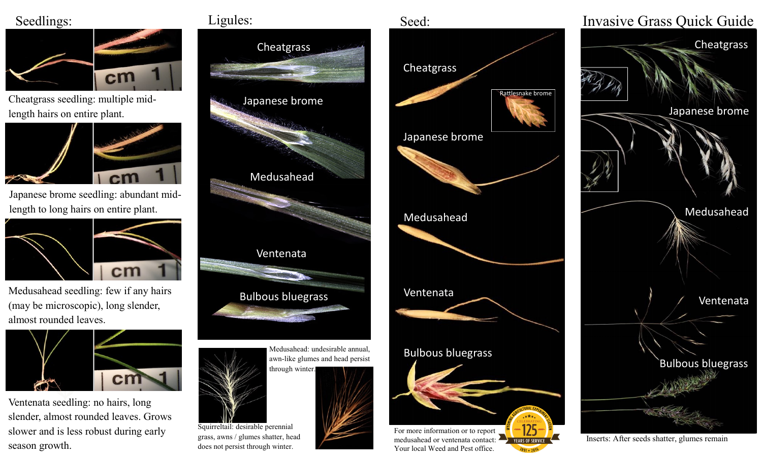## Seedlings:



Cheatgrass seedling: multiple midlength hairs on entire plant.



Japanese brome seedling: abundant midlength to long hairs on entire plant.



Medusahead seedling: few if any hairs (may be microscopic), long slender, almost rounded leaves.



Ventenata seedling: no hairs, long slender, almost rounded leaves. Grows slower and is less robust during early season growth.





awn-like glumes and head persist through winter.



Cheatgrass Rattlesnake brome Japanese brome Medusahead Ventenata Bulbous bluegrass For more information or to report medusahead or ventenata contact: **YEARS OF SERVIC** Your local Weed and Pest office.

Seed:

Invasive Grass Quick Guide **Cheatgrass** Japanese brome Medusahead Ventenata Bulbous bluegrass

Inserts: After seeds shatter, glumes remain